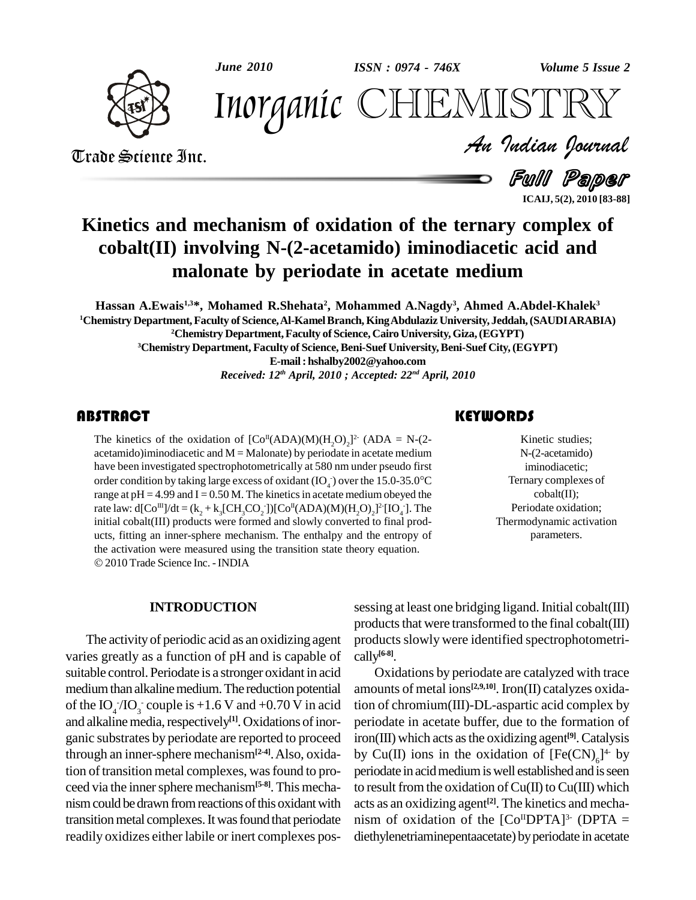

*June 2010 Volume 5 Issue 2 ISSN : 0974 - 746X*



*Volume 5 Issue 2*<br>ISTRY<br>Indian Iournal Inorganic CHEMISTRY

Trade Science Inc. Trade Science Inc.

Full Paper **ICAIJ, 5(2), 2010 [83-88]**

## **Kinetics and mechanism of oxidation of the ternary complex of cobalt(II) involving N-(2-acetamido) iminodiacetic acid and malonate by periodate in acetate medium**

**Hassan A.Ewais 1,3\*, Mohamed R.Shehata 2 , Mohammed A.Nagdy 3 , Ahmed A.Abdel-Khalek 3 <sup>1</sup>Chemistry Department,Faculty of Science,Al-KamelBranch, KingAbdulaziz University, Jeddah,(SAUDIARABIA) <sup>2</sup>Chemistry Department,Faculty of Science, Cairo University,Giza,(EGYPT) <sup>3</sup>Chemistry Department, Faculty of Science,Beni-Suef University,Beni-Suef City,(EGYPT) E-mail: [hshalby2002@yahoo.com](mailto:hshalby2002@yahoo.com)** *Received: 12 th April, 2010 ; Accepted: 22 nd April, 2010*

### **ABSTRACT**

The kinetics of the oxide<br>acetamido)iminodiacetic a<br>have been investigated spo The kinetics of the oxidation of  $[Co^{II}(ADA)(M)(H_2O)_2]^2$  (ADA = N-(2acetamido)iminodiacetic and  $M =$ Malonate) by periodate in acetate medium have been investigated spectrophotometrically at 580 nm under pseudo first acetamido)iminodiacetic and M = Malonate) by periodate in acetate medium<br>have been investigated spectrophotometrically at 580 nm under pseudo first<br>order condition by taking large excess of oxidant (IO<sub>4</sub>) over the 15.0-3 range at  $pH = 4.99$  and  $I = 0.50$  M. The kinetics in acetate medium obeyed the rate law: d[Co<sup>III</sup>]/dt = (k<sub>2</sub> + k<sub>3</sub>[CH<sub>3</sub>CO<sub>2</sub>])[Co<sup>II</sup>(ADA)(M)(H<sub>2</sub>O)<sub>2</sub>]<sup>2</sup>[IO<sub>4</sub>]. The initial cobalt(III) products were formed and slowly converted to final prod ucts, fitting an inner-sphere mechanism. The enthalpy and the entropy of the activation were measured using the transition state theory equation. 2010 Trade Science Inc. -INDIA

## **KEYWORDS**

Kinetic studie<br>N-(2-acetamid<br>iminodiacetic Kinetic studies; N-(2-acetamido) iminodiacetic; Ternary complexes of cobalt(II); Periodate oxidation; Thermodynamic activation parameters.

### **INTRODUCTION**

The activityof periodic acid as an oxidizing agent varies greatly as a function of pH and is capable of suitable control. Periodate is a stronger oxidant in acid medium than alkaline medium. The reduction potential of the  $IO_4/IO_3$  couple is +1.6 V and +0.70 V in acid tion of and alkaline media, respectively<sup>[1]</sup>. Oxidations of inor- peri ganic substrates by periodate are reported to proceed through an inner-sphere mechanism**[2-4]**.Also, oxidation of transition metal complexes, was found to proceed via the innersphere mechanism**[5-8]**.This mecha nism could be drawn from reactions of this oxidant with transition metal complexes. It was found that periodate readily oxidizes either labile or inert complexes pos-

sessing at least one bridging ligand. Initial cobalt(III) products that were transformed to the final cobalt $(III)$ products slowly were identified spectrophotometrically **[6-8]**.

Oxidations by periodate are catalyzed with trace amounts of metal ions **[2,9,10]**. Iron(II) catalyzes oxidation of chromium(III)-DL-aspartic acid complex by periodate in acetate buffer, due to the formation of iron(III) which acts asthe oxidizing agent **[9]**.Catalysis by Cu(II) ions in the oxidation of  $[Fe(CN)<sub>6</sub>]$ <sup>4</sup> by periodate in acid medium is well established and is seen to result from the oxidation of  $Cu(II)$  to  $Cu(III)$  which acts as an oxidizing agent **[2]**. The kinetics and mecha nism of oxidation of the  $[Co<sup>H</sup> DPTA]<sup>3</sup>$  (DPTA = diethylenetriaminepentaacetate) by periodate in acetate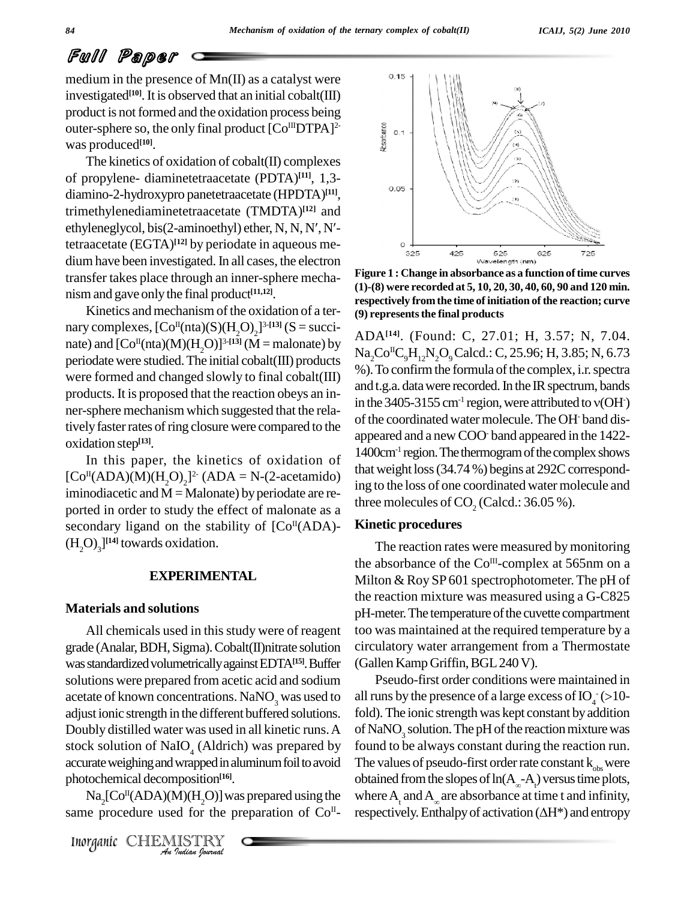## Full Paper

medium in the presence of  $Mn(II)$  as a catalyst were investigated<sup>[10]</sup>. It is observed that an initial cobalt(III) product is not formed and the oxidation process being outer-sphere so, the only final product  $[Co<sup>III</sup>DTPA]<sup>2</sup>$ was produced **[10]**.

The kinetics of oxidation of cobalt(II) complexes of propylene- diaminetetraacetate (PDTA) **[11]**, 1,3 diamino-2-hydroxypro panetetraacetate (HPDTA) **[11]**, trimethylenediaminetetraacetate (TMDTA) **[12]** and diamino-2-hydroxypro panetetraacetate (HPDTA)<sup>[11]</sup>,<br>trimethylenediaminetetraacetate (TMDTA)<sup>[12]</sup> and<br>ethyleneglycol, bis(2-aminoethyl) ether, N, N, N', N'tetraacetate (EGTA) **[12]** by periodate in aqueous me dium have been investigated. In all cases, the electron transfer takes place through an inner-sphere mecha nism and gave onlythe final product **[11,12]**.

Kinetics and mechanism of the oxidation of a ternary complexes,  $[Co<sup>H</sup>(nta)(S)(H<sub>2</sub>O)<sub>2</sub>]^{3-[13]}$  (S = succinate) and  $[Co<sup>{II}</sup>(nta)(M)(H<sub>2</sub>O)]<sup>3-[13]</sup>(M = malonate) by  $\frac{ADA}{NaCo}$$ periodate were studied.The initial cobalt(III) products were formed and changed slowly to final cobalt(III) products. It is proposed that the reaction obeys an in-<br>ner-sphere mechanism which suggested that the rela-<br> $\frac{1}{2}$  in the 3405-3155 cm<sup>-1</sup> region, were attributed to  $v(OH)$ tively faster rates of ring closure were compared to the oxidation step **[13]**.

In this paper, the kinetics of oxidation of  $[Co<sup>H</sup>(ADA)(M)(H<sub>2</sub>O)<sub>2</sub>]$ <sup>2</sup> (ADA = N-(2-acetamido) ing iminodiacetic and  $M =$ Malonate) by periodate are reported in order to study the effect of malonate as a secondary ligand on the stability of  $[Co<sup>{II}</sup>(ADA)$ - **Kin**  $(H_2O)_3]^{[14]}$  towards oxidation.

### **EXPERIMENTAL**

### **Materials and solutions**

accurate weighing and wrapped in aluminum foil to avoid The val *Indian Indian Indian*<br> *Indian Indian*<br> *Indian Indian*<br> *Inorganic* CHEMISTRY<br> *Inorganic* CHEMISTRY All chemicals used in this study were of reagent grade (Analar,BDH,Sigma).Cobalt(II)nitrate solution was standardized volumetrically against EDTA<sup>[15]</sup>. Buffer solutions were prepared from acetic acid and sodium acetate of known concentrations. NaNO<sub>3</sub> was used to adjust ionic strength in the different buffered solutions. Doubly distilled water was used in all kinetic runs.A stock solution of NaIO<sub>4</sub> (Aldrich) was prepared by photochemical decomposition **[16]**.

 $\text{Na}_2[\text{Co}^{II}(\text{ADA})(\text{M})(\text{H}_2\text{O})]$  was prepared using the where same procedure used for the preparation of  $Co<sup>H</sup>$ - respe



**Figure 1 : Change in absorbance as a function oftime curves (1)-(8) were recorded at 5, 10, 20, 30, 40, 60, 90 and 120 min. respectively fromthe time ofinitiation ofthe reaction; curve (9) representsthe final products**

ADA**[14]**. (Found: C, 27.01; H, 3.57; N, 7.04.  $\rm Na_2Co^{\rm IIC}_9H_{12}N_2O_9Calcd.$ : C, 25.96; H, 3.85; N, 6.73 %). To confirm the formula of the complex, i.r. spectra<br>and t.g.a. data were recorded. In the IR spectrum, bands<br>in the 3405-3155 cm<sup>-1</sup> region, were attributed to  $v(OH<sup>-</sup>)$ and t.g.a. data were recorded. In the IR spectrum, bands of the coordinated water molecule. The OH- band disappeared and a new COO- band appeared in the 1422- 1400cm<sup>-1</sup> region. The thermogram of the complex shows that weight loss  $(34.74\%)$  begins at 292C corresponding to the loss of one coordinated water molecule and three molecules of  $CO$ , (Calcd.: 36.05 %).

### **Kinetic procedures**

The reaction rates were measured by monitoring the absorbance of the  $Co^{\text{III}}$ -complex at 565nm on a Milton  $&$  Roy SP 601 spectrophotometer. The pH of the reaction mixture was measured using a G-C825 pH-meter. The temperature of the cuvette compartment too was maintained at the required temperature by a circulatory water arrangement from a Thermostate (Gallen Kamp Griffin, BGL 240 V).

Pseudo-first order conditions were maintained in (Gallen Kamp Griffin, BGL 240 V).<br>
Pseudo-first order conditions were maintained in<br>
all runs by the presence of a large excess of  $IO_4$  (>10fold). The ionic strength was kept constant by addition of NaNO<sub>2</sub> solution. The pH of the reaction mixture was found to be always constant during the reaction run. The values of pseudo-first order rate constant  $k_{\text{obs}}$  were The values of pseudo-first order<br>obtained from the slopes of  $ln(A_0)$ obtained from the slopes of  $\ln(A_{\infty}-A_{\cdot})$  versus time plots,<br>where  $A_{\cdot}$  and  $A_{\infty}$  are absorbance at time t and infinity,<br>respectively. Enthalpy of activation ( $\Delta H^*$ ) and entropy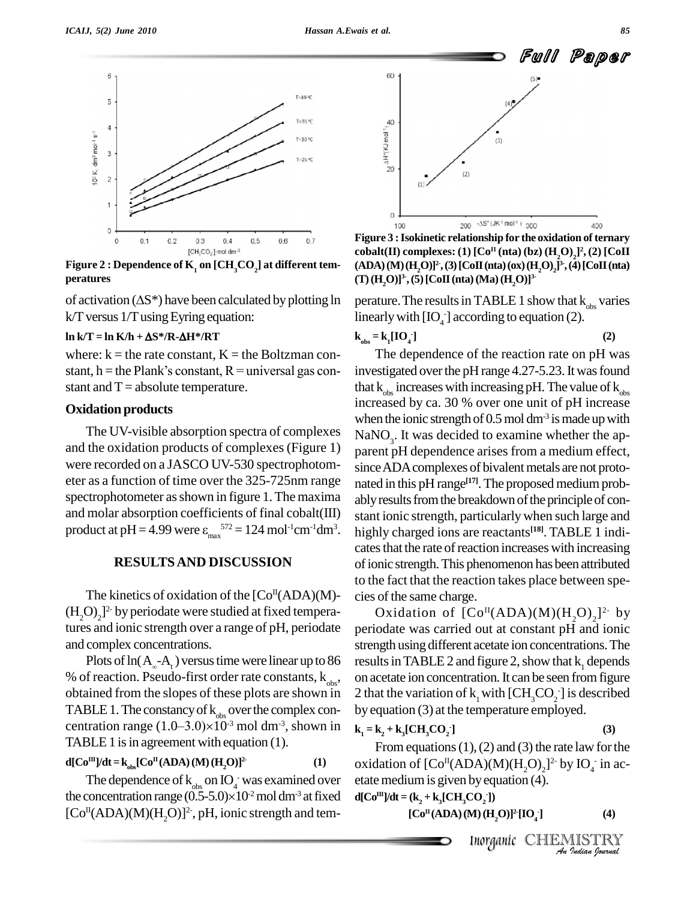

peratures<br>of activation ( $\Delta S^*$ ) have been calculated by plotting ln **Figure** 2 **: Dependence** of **K**<sub>1</sub> on [CH<sub>3</sub>CO<sub>2</sub>] at different tem-

k/Tversus 1/TusingEyring equation: **ln k/T <sup>=</sup> ln K/h <sup>+</sup> S\*/R-H\*/RT**

where:  $k =$  the rate constant,  $K =$  the Boltzman con- $\ln k/T = \ln K/h + \Delta S^* / R - \Delta H^* / R T$ <br>where: k = the rate constant, K = the Boltzman con-<br>stant, h = the Plank's constant, R = universal gas con- inve stant and  $T = absolute$  temperature.

### **Oxidation products**

The UV-visible absorption spectra of complexes and the oxidation products of complexes (Figure 1) were recorded on a JASCO UV-530 spectrophotom eter as a function of time over the 325-725nm range spectrophotometer asshown in figure 1.The maxima and molar absorption coefficients of final cobalt(III) spectrophotometer as shown in figure 1. The maxima ab<br>and molar absorption coefficients of final cobalt(III) star-<br>product at pH = 4.99 were  $\varepsilon_{max}^{572}$  = 124 mol<sup>-1</sup>cm<sup>-1</sup>dm<sup>3</sup>. hight

### **RESULTSAND DISCUSSION**

The kinetics of oxidation of the  $[Co<sup>{II}</sup>(ADA)(M)-$  cies  $(H_2O)_2^2$  by periodate were studied at fixed temperatures and ionic strength over a range of pH, periodate and complex concentrations.

Plots of  $ln(A_{\infty}-A_t)$  versus time were linear up to 86 results % of reaction. Pseudo-first order rate constants,  $k_{obs}$ , on acet obtained from the slopes of these plots are shown in 2 that t obtained from the slopes of these plots are shown in 21<br>TABLE 1. The constancy of  $k_{obs}$  over the complex con-<br>centration range  $(1.0-3.0)\times10^{-3}$  mol dm<sup>-3</sup>, shown in  $k_i$ <sup>-3</sup> mol dm<sup>-3</sup>, shown in  $\mathbf{k}_{1} = \mathbf{k}_{2} +$ TABLE 1 is in agreement with equation  $(1)$ .

### **d**[ $\text{Co}^{\text{III}}$ ]/**dt** = **k**<sub>obs</sub>[ $\text{Co}^{\text{II}}(\text{ADA})$  (**M**) (**H**<sub>2</sub>**O**)]<sup>2</sup> **2- (1)**

The dependence of  $k_{obs}$  on IO<sub>4</sub> was examined over etat  $d[Co<sup>m</sup>]/dt = k<sub>obs</sub>[Co<sup>n</sup>(ADA)(M)(H<sub>2</sub>O)]<sup>2</sup>$ <br>The dependence of  $k<sub>obs</sub>$  on  $IO<sub>4</sub>$  was examin<br>the concentration range (0.5-5.0)×10<sup>-2</sup> mol dm<sup>-1</sup> the concentration range  $(0.5-5.0)\times10^{2}$  mol dm<sup>-3</sup> at fixed d  $[Co<sup>II</sup>(ADA)(M)(H<sub>2</sub>O)]<sup>2</sup>$ , pH, ionic strength and tem-



**Figure 3 :Isokinetic relationship for the oxidation of ternary**  ${\bf cobalt}({\bf II})$   ${\bf complexes:}$   ${\bf (1)}$   $[{\bf Co^{\rm II}}\left({\bf nta}\right)\left({\bf bz}\right)\left({\bf H}_2{\bf O}\right)_2]^2$ ,  ${\bf (2)}$   $[{\bf CoII}]$ **(ADA)(M)(H2O)] 2-,(3)[CoII(nta)(ox)(H2O) <sup>2</sup>] 3-,(4)[CoII(nta)**  $($ **T** $)($ **H**<sub>2</sub>**O**)]<sup>3</sup>, (**5**)[Co**II**(**nta**)(**Ma**)(**H**<sub>2</sub>**O**)]<sup>3</sup>

perature. The results in TABLE 1 show that  $k_{obs}$  varies linearly with  $[IO_4]$  according to equation (2).

$$
\mathbf{k}_{obs} = \mathbf{k}_1 [\mathbf{IO}_4] \tag{2}
$$

. highly charged ions are reactants **[18]**. TABLE 1 indi- The dependence of the reaction rate on pH was investigated over the pH range 4.27-5.23. It was found that  $k_{obs}$  increases with increasing pH. The value of  $k_{obs}$  increased by ca. 30 % over one unit of pH increase when the ionic strength of  $0.5$  mol dm<sup>-3</sup> is made up with  $\text{NaNO}_3$ . It was decided to examine whether the apparent pH dependence arises from a medium effect, since ADA complexes of bivalent metals are not protonated in this pH range<sup>[17]</sup>. The proposed medium probably results from the breakdown of the principle of constant ionic strength, particularlywhen such large and cates that the rate of reaction increases with increasing ofionic strength.This phenomenon has been attributed to the fact that the reaction takes place between spe cies of the same charge.

Oxidation of  $\text{[Co}^{\text{II}}(\text{ADA})(\text{M})(\text{H}_2\text{O})_2]^2$  by periodate was carried out at constant pH and ionic strength using different acetate ion concentrations.The results in TABLE 2 and figure 2, show that  $k_1$  depends on acetate ion concentration. It can be seen from figure 2 that the variation of  $k_1$  with  $\text{[CH}_3\text{CO}_2^-$ ] is described by equation (3) at the temperature employed.

$$
\mathbf{k}_1 = \mathbf{k}_2 + \mathbf{k}_3 \left[ \mathbf{C} \mathbf{H}_3 \mathbf{C} \mathbf{O}_2 \right] \tag{3}
$$

 $DA(M)(H_2O)_2l^2$  by  $IO_4$  in ac-<br>by equation (4).<br> $CO_2$ <sup>1</sup>)<br> $M)(H_2O)l^2[IO_4]$  (4)<br>Inorganic CHEMISTRY From equations (1), (2) and (3) the rate law for the oxidation of  $\text{[Co}^{\text{II}}(\text{ADA})(\text{M})(\text{H}_2\text{O})_2]^2$  by  $\text{IO}_4^-$  in acetate medium is given by equation (4).

$$
d[Com]/dt = (k2 + k3[CH3CO2])
$$

$$
[\text{Co}^{\text{II}}(\text{ADA})(\text{M})(\text{H}_2\text{O})]^2[\text{IO}_4] \tag{4}
$$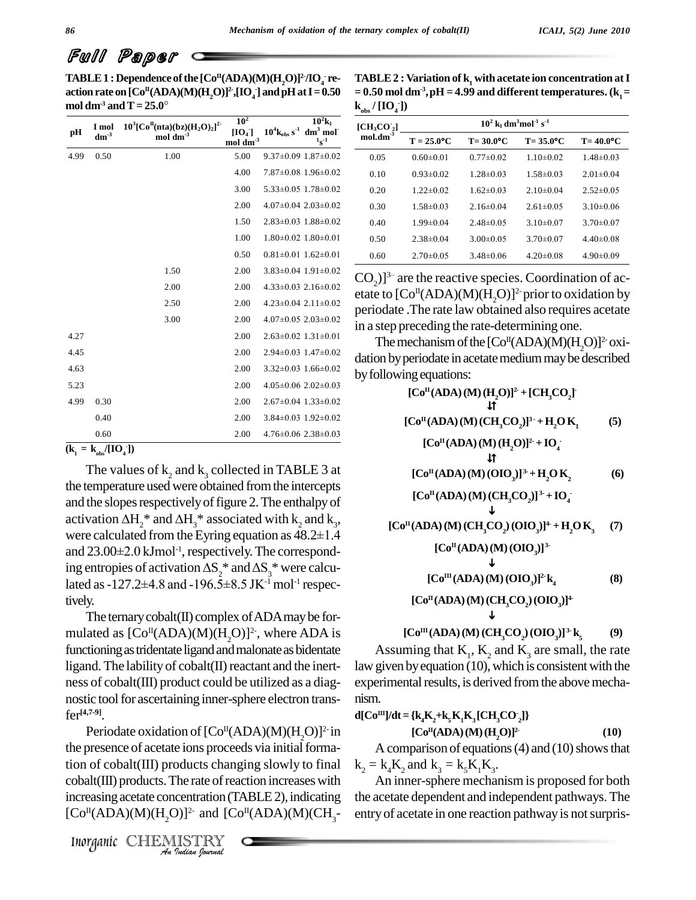# Full Paper

**TABLE 1 :** Dependence of the  $\text{[Co}^{\text{II}}(\text{ADA})(\text{M})(\text{H}_2\text{O})\text{]}^2/\text{IO}_4$  re- TA **action rate on**  $[Co^{II}(ADA)(M)(H_2O)]^2$ ,  $[IO_4]$  and  $pH$  at  $I = 0.50$  = 0.50 **TABLE 1 : Dependence of the [<br>action rate on**  $[Co<sup>H</sup>(ADA)(M)(I)]$ **<br>mol dm<sup>-3</sup> and T = 25.0°** 

| pН   | I mol<br>$dm^{-3}$ | $10^3[Co^{\text{II}}(\text{nta})(\text{bz})(\text{H}_2\text{O})_2]^2$<br>$\mathrm{mol}\ \mathrm{dm}^{-3}$ | 10 <sup>2</sup><br>$[IO_4]$<br>$mol \, \text{dm}^3$ | $10^4$ $k_{obs}$ s <sup>-1</sup> | $10^2$ k <sub>1</sub><br>$dm3$ mol <sup>-</sup><br>$1_{S}^{-1}$ |
|------|--------------------|-----------------------------------------------------------------------------------------------------------|-----------------------------------------------------|----------------------------------|-----------------------------------------------------------------|
| 4.99 | 0.50               | 1.00                                                                                                      | 5.00                                                |                                  | $9.37\pm0.09$ 1.87 $\pm0.02$                                    |
|      |                    |                                                                                                           | 4.00                                                |                                  | $7.87\pm0.08$ 1.96 $\pm0.02$                                    |
|      |                    |                                                                                                           | 3.00                                                |                                  | $5.33 \pm 0.05$ 1.78 $\pm 0.02$                                 |
|      |                    |                                                                                                           | 2.00                                                |                                  | $4.07\pm0.04$ 2.03 $\pm0.02$                                    |
|      |                    |                                                                                                           | 1.50                                                |                                  | $2.83 \pm 0.03$ 1.88 $\pm 0.02$                                 |
|      |                    |                                                                                                           | 1.00                                                |                                  | $1.80\pm0.02$ $1.80\pm0.01$                                     |
|      |                    |                                                                                                           | 0.50                                                | $0.81 \pm 0.01$ 1.62 $\pm 0.01$  |                                                                 |
|      |                    | 1.50                                                                                                      | 2.00                                                |                                  | $3.83\pm0.04$ 1.91 $\pm0.02$                                    |
|      |                    | 2.00                                                                                                      | 2.00                                                |                                  | $4.33\pm0.03$ 2.16 $\pm0.02$                                    |
|      |                    | 2.50                                                                                                      | 2.00                                                |                                  | $4.23 \pm 0.04$ 2.11 $\pm 0.02$                                 |
|      |                    | 3.00                                                                                                      | 2.00                                                |                                  | $4.07\pm0.05$ 2.03 $\pm0.02$                                    |
| 4.27 |                    |                                                                                                           | 2.00                                                |                                  | $2.63\pm0.02$ 1.31 $\pm0.01$                                    |
| 4.45 |                    |                                                                                                           | 2.00                                                |                                  | $2.94\pm0.03$ 1.47 $\pm0.02$                                    |
| 4.63 |                    |                                                                                                           | 2.00                                                |                                  | $3.32\pm0.03$ 1.66 $\pm0.02$                                    |
| 5.23 |                    |                                                                                                           | 2.00                                                |                                  | $4.05\pm0.06$ 2.02 $\pm0.03$                                    |
| 4.99 | 0.30               |                                                                                                           | 2.00                                                |                                  | $2.67\pm0.04$ 1.33 $\pm0.02$                                    |
|      | 0.40               |                                                                                                           | 2.00                                                |                                  | $3.84\pm0.03$ 1.92 $\pm0.02$                                    |
|      | 0.60               |                                                                                                           | 2.00                                                |                                  | $4.76 \pm 0.06$ 2.38 $\pm 0.03$                                 |

 $(k_1 = k_{obs}/[IO_4])$ 

The values of  $k_2$  and  $k_3$  collected in TABLE 3 at the temperature usedwere obtained fromthe intercepts and the slopes respectively of figure 2. The enthalpy of the temperature used were obtain<br>and the slopes respectively of figure activation  $\Delta H_2^*$  and  $\Delta H_3^*$  asset activation  $\Delta H_2^*$  and  $\Delta H_3^*$  associated with  $k_2$  and  $k_3$ ,<br>were calculated from the Eyring equation as 48.2±1.4<br>and 23.00±2.0 kJmol<sup>-1</sup>, respectively. The correspondand the slopes respectively of figure 2. The enthalpy of<br>activation  $\Delta H_2^*$  and  $\Delta H_3^*$  associated with  $k_2$  and  $k_3$ ,<br>were calculated from the Eyring equation as 48.2±1.4 -1 ,respectively.The correspondwere calculated from the Eyring equation as  $48.2\pm1.4$ <br>and  $23.00\pm2.0$  kJmol<sup>-1</sup>, respectively. The correspond-<br>ing entropies of activation  $\Delta S_2^*$  and  $\Delta S_3^*$  were calcuand 23.00±2.0 kJmol<sup>-1</sup>, respectively. The correspo<br>ing entropies of activation  $\Delta S_2^*$  and  $\Delta S_3^*$  were cal<br>lated as -127.2±4.8 and -196.5±8.5 JK<sup>-1</sup> mol<sup>-1</sup> resp lated as -127.2±4.8 and -196.5±8.5 JK<sup>-1</sup> mol<sup>-1</sup> respec-

tively.<br>The ternary cobalt(II) complex of ADA may be formulated as  $[Co<sup>II</sup>(ADA)(M)(H<sub>2</sub>O)]<sup>2</sup>$ , where ADA is functioning as tridentate ligand and malonate as bidentate ligand. The lability of cobalt $(II)$  reactant and the inertness of cobalt(III) product could be utilized as a diag nostic tool for ascertaining inner-sphere electron transfer **[4,7-9]**.

the presence of acetate ions proceeds via initial forma-*Indian*<br> *Indian*<br> *Indian*<br> *Indian*<br> *Indian fourwal* Periodate oxidation of  $[Co<sup>H</sup>(ADA)(M)(H<sub>2</sub>O)]<sup>2</sup>$  in tion of cobalt(III) products changing slowly to final  $\text{cobalt(III)}$  products. The rate of reaction increases with increasing acetate concentration (TABLE 2), indicating the ace  $[Co<sup>II</sup>(ADA)(M)(H<sub>2</sub>O)]<sup>2-</sup>$  and  $[Co<sup>II</sup>(ADA)(M)(CH<sub>3</sub>-$  entr

Inorganic CHEMISTRY

**TABLE 2 : Variation** of  $\mathbf{k}_1$  with acetate ion concentration at **I**  $= 0.50$  mol dm<sup>-3</sup>, pH = 4.99 and different temperatures.  $(k_1 =$  $k_{obs} / [IO_4^-]$ 

| vvə            |                                                                         |                 |                 |                 |  |
|----------------|-------------------------------------------------------------------------|-----------------|-----------------|-----------------|--|
| $[CH_3CO_2]$   | $10^2$ k <sub>1</sub> dm <sup>3</sup> mol <sup>-1</sup> s <sup>-1</sup> |                 |                 |                 |  |
| $mol.dim^{-3}$ | $T = 25.0$ °C                                                           | $T = 30.0$ °C   | $T = 35.0$ °C   | $T = 40.0$ °C   |  |
| 0.05           | $0.60 \pm 0.01$                                                         | $0.77 \pm 0.02$ | $1.10 \pm 0.02$ | $1.48 \pm 0.03$ |  |
| 0.10           | $0.93 \pm 0.02$                                                         | $1.28 \pm 0.03$ | $1.58 \pm 0.03$ | $2.01 \pm 0.04$ |  |
| 0.20           | $1.22 \pm 0.02$                                                         | $1.62 \pm 0.03$ | $2.10\pm0.04$   | $2.52\pm0.05$   |  |
| 0.30           | $1.58 \pm 0.03$                                                         | $2.16\pm0.04$   | $2.61 \pm 0.05$ | $3.10\pm0.06$   |  |
| 0.40           | $1.99 \pm 0.04$                                                         | $2.48\pm0.05$   | $3.10\pm0.07$   | $3.70\pm0.07$   |  |
| 0.50           | $2.38\pm0.04$                                                           | $3.00 \pm 0.05$ | $3.70 \pm 0.07$ | $4.40\pm0.08$   |  |
| 0.60           | $2.70 \pm 0.05$                                                         | $3.48 \pm 0.06$ | $4.20 \pm 0.08$ | $4.90 \pm 0.09$ |  |

 $\frac{0.60}{100}$   $\frac{2.70 \pm 0.05}{2.70 \pm 0.05}$   $\frac{3.48 \pm 0.06}{2.70 \pm 0.08}$   $\frac{4.20 \pm 0.08}{2.70 \pm 0.09}$ <br>CO<sub>2</sub>)]<sup>3-</sup> are the reactive species. Coordination of acetate to  $[{\rm Co}^{\rm II}({\rm ADA})({\rm M})({\rm H}_{2}{\rm O})]^{2}$  prior to oxidation by periodate .The rate law obtained also requires acetate in a step preceding the rate-determining one.

The mechanism of the  $\rm [Co^II(ADA)(M)(H_2O)]^2$  oxidation by periodate in acetate medium may be described byfollowingequations:

**[Co II(ADA)(M)(H2O)] 2- +[CH3CO2] - [Co II(ADA)(M)(CH3CO2)] <sup>3</sup> - +H2OK<sup>1</sup> (5) [Co II(ADA)(M)(H2O)] 2- +IO<sup>4</sup> - [Co II(ADA)(M)(OIO3)] 3-+H2OK<sup>2</sup> (6) [Co II(ADA)(M)(CH3CO2)] 3- + IO<sup>4</sup> - [Co II(ADA)(M)(CH3CO2)(OIO3)] 4- +H2OK<sup>3</sup> (7) [Co II(ADA)(M)(OIO3)] 3- [Co III(ADA)(M)(OIO3)] 2-k<sup>4</sup> (8) [Co II(ADA)(M)(CH3CO2)(OIO3)] 4- [Co III(ADA)(M)(CH3CO2)(OIO3)] 3- k<sup>5</sup> (9)**

Assuming that  $K_1$ ,  $K_2$  and  $K_3$  are small, the rate law given by equation  $(10)$ , which is consistent with the experimental results, is derived from the above mechanism.

$$
d[CoH]/dt = {k4K2+k5K1K3[CH3CO2]}[CoH(ADA)(M)(H2O)]2
$$
 (10)

A comparison of equations  $(4)$  and  $(10)$  shows that  $k_2 = k_4 K_2$  and  $k_3 = k_5 K_1 K_3$ .

An inner-sphere mechanism is proposed for both the acetate dependent and independent pathways. The entry of acetate in one reaction pathway is not surpris-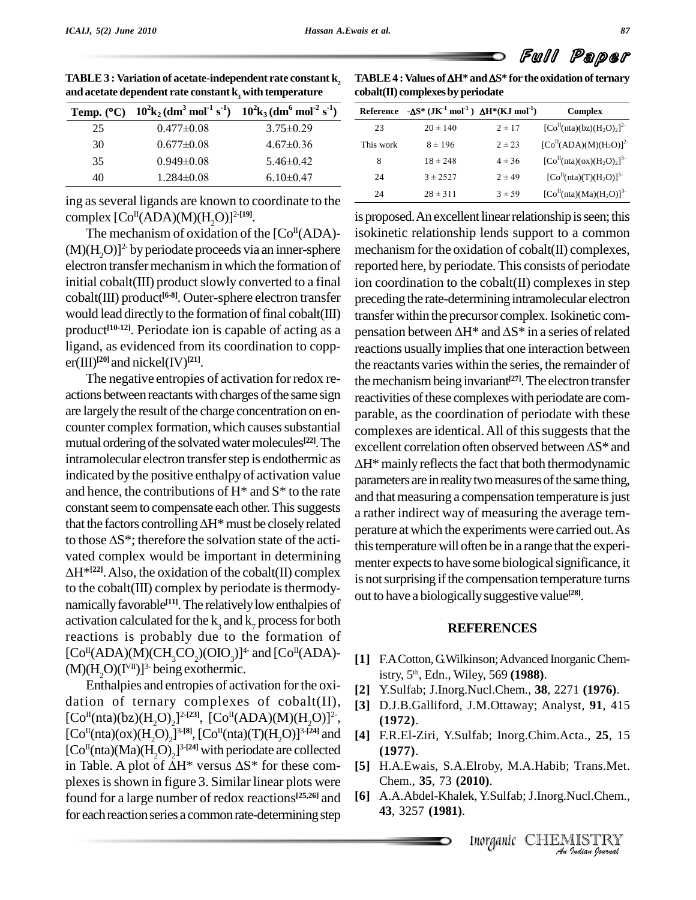|    | Temp. (°C) $10^2$ k <sub>2</sub> (dm <sup>3</sup> mol <sup>-1</sup> s <sup>-1</sup> ) $10^2$ k <sub>3</sub> (dm <sup>6</sup> mol <sup>-2</sup> s <sup>-1</sup> ) |                 | R |  |  |
|----|------------------------------------------------------------------------------------------------------------------------------------------------------------------|-----------------|---|--|--|
| 25 | $0.477 \pm 0.08$                                                                                                                                                 | $3.75 \pm 0.29$ |   |  |  |
| 30 | $0.677 \pm 0.08$                                                                                                                                                 | $4.67 \pm 0.36$ |   |  |  |
| 35 | $0.949 \pm 0.08$                                                                                                                                                 | $5.46 \pm 0.42$ |   |  |  |
| 40 | $1.284 \pm 0.08$                                                                                                                                                 | $6.10 \pm 0.47$ |   |  |  |

TABLE 3 : Variation of acetate-independent rate constant  $k_2$ <br>and acetate dependent rate constant  $k_3$  with temperature<br>Temp. (°C)  $10^2 k_2 (dm^3 mol^{-1} s^{-1}) 10^2 k_3 (dm^6 mol^{-2} s^{-1})$ 

ing asseveral ligands are known to coordinate to the complex [Co II(ADA)(M)(H2O)] 2-**[19]**.

The mechanism of oxidation of the  $[Co<sup>{II}</sup>(ADA)$ - isol  $(M)(H<sub>2</sub>O)<sup>2</sup>$  by periodate proceeds via an inner-sphere mechanic electron transfer mechanism in which the formation of initial cobalt $(III)$  product slowly converted to a final cobalt(III) product **[6-8]**. Outer-sphere electron transfer would lead directly to the formation of final cobalt(III) product<sup>[10-12]</sup>. Periodate ion is capable of acting as a pensa ligand, as evidenced from its coordination to copp er(III) **[20]**and nickel(IV) **[21]**.

The negative entropies of activation for redox re-<br>actions between reactants with charges of the same sign are largely the result of the charge concentration on encounter complex formation, which causes substantial mutual ordering of the solvated water molecules<sup>[22]</sup>. The excell indicated by the positive enthalpy of activation value and hence, the contributions of  $H^*$  and  $S^*$  to the rate constant seem to compensate each other. This suggests and hence, the contributions of  $H^*$  and  $S^*$  to the rate<br>constant seem to compensate each other. This suggests<br>that the factors controlling  $\Delta H^*$  must be closely related constant seem to compensate each other. This suggests<br>that the factors controlling  $\Delta H^*$  must be closely related<br>to those  $\Delta S^*$ ; therefore the solvation state of the activated complex would be important in determining to those  $\Delta S^*$ ; therefore the solvation state of the acti- $H^{*(22)}$ . Also, the oxidation of the cobalt(II) complex  $\frac{H^{*(22)}}{R}$ to the cobalt $(III)$  complex by periodate is thermodynamically favorable<sup>[11]</sup>. The relatively low enthalpies of activation calculated for the  $k_3$  and  $k_7$  process for both reactions is probably due to the formation of  $[Co<sup>II</sup>(ADA)(M)(CH<sub>3</sub>CO<sub>2</sub>)(OIO<sub>3</sub>)]<sup>4</sup>$  and  $[Co<sup>II</sup>(ADA)-11]$  $(M)(H_2O)(I<sup>VII</sup>)$ <sup>3-</sup> being exothermic.

Enthalpies and entropies of activation forthe oxi dation of ternary complexes of cobalt(II),  $[Co<sup>H</sup>(nta)(bz)(H<sub>2</sub>O)<sub>2</sub>]^{2-[23]}, [Co<sup>H</sup>(ADA)(M)(H<sub>2</sub>O)]^{2},$  $[Co<sup>H</sup>(nta)(ox)(H<sub>2</sub>O)<sub>2</sub>]^{3-[8]}, [Co<sup>H</sup>(nta)(T)(H<sub>2</sub>O)]^{3-[24]}$  and [4] F.I<br>  $[Co<sup>H</sup>(nta)(Ma)(H<sub>2</sub>O)<sub>2</sub>]^{3-[24]}$  with periodate are collected (1<br>
in Table. A plot of  $\Delta H^*$  versus  $\Delta S^*$  for these com- [5] H.  $[Co<sup>II</sup>(nta)(Ma)(H<sub>2</sub>O)<sub>2</sub>]$ <sup>3-[24]</sup> with periodate are collected (1) plexes is shown in figure 3. Similar linear plots were found for a large number of redox reactions<sup>[25,26]</sup> and [6] A. for each reaction series a common rate-determining step

**TABLE 4 :** Values of  $\Delta H^*$  and  $\Delta S^*$  for the oxidation of ternary

| $\cosh(t)$ complexes by periodate |                                                                                                 |            |                         |  |  |
|-----------------------------------|-------------------------------------------------------------------------------------------------|------------|-------------------------|--|--|
|                                   | Reference $-\Delta S^*$ (JK <sup>-1</sup> mol <sup>-1</sup> ) $\Delta H^*(KJ \text{ mol}^{-1})$ |            | Complex                 |  |  |
| 23                                | $20 \pm 140$                                                                                    | $2 \pm 17$ | $[CoH(nta)(bz)(H2O)2]2$ |  |  |
| This work                         | $8 \pm 196$                                                                                     | $2 \pm 23$ | $[CoH(ADA)(M)(H2O)]2$   |  |  |
| 8                                 | $18 \pm 248$                                                                                    | $4 \pm 36$ | $[CoH(nta)(ox)(H2O)2]3$ |  |  |
| 24                                | $3 + 2527$                                                                                      | $2 \pm 49$ | $[CoH(nta)(T)(H2O)]3$   |  |  |
| 24                                | $28 \pm 311$                                                                                    | $3 \pm 59$ | $[CoII(nta)(Ma)(H2O)]3$ |  |  |

mutual ordering or the solvated water molecules<sup>[221]</sup>. The excellent correlation often observed between  $\Delta S^*$  and intramolecular electron transfer step is endothermic as  $\Delta H^*$  mainly reflects the fact that both therm is proposed. An excellent linear relationship is seen; this isokinetic relationship lends support to a common mechanism for the oxidation of  $\text{cobalt}(\Pi)$  complexes, reported here, by periodate. This consists of periodate ion coordination to the cobalt(II) complexes in step preceding the rate-determining intramolecular electron transfer within the precursor complex.Isokinetic com pensation between  $\Delta H^*$  and  $\Delta S^*$  in a series of related reactions usually implies that one interaction between the reactants varies within the series, the remainder of the mechanism being invariant<sup>[27]</sup>. The electron transfer reactivities of these complexes with periodate are comparable, as the coordination of periodate with these complexes are identical. All of this suggests that the parable, as the coordination of periodate with these<br>complexes are identical. All of this suggests that the<br>excellent correlation often observed between  $\Delta S^*$  and  $\overline{\mathbf{c}}$  $\Delta H^*$  mainly reflects the fact that both thermodynamic parameters are in reality two measures of the same thing, and that measuring a compensation temperature is just a rather indirect way of measuring the average tem perature atwhich the experiments were carried out.As this temperature will often be in a range that the experimenter expects to have some biological significance, it is not surprising if the compensation temperature turns out to have a biologicallysuggestive value **[28]**.

### **REFERENCES**

- **[1]** F.ACotton,G.Wilkinson;Advanced InorganicChemistry, 5 th , Edn., Wiley, 569 **(1988)**.
- **[2]** Y.Sulfab; J.Inorg.Nucl.Chem., **38**, 2271 **(1976)**.
- **[3]** D.J.B.Galliford, J.M.Ottaway; Analyst, **91**, 415 **(1972)**.
- **[4]** F.R.El-Ziri, Y.Sulfab; Inorg.Chim.Acta., **25**, 15 **(1977)**.
- **[5]** H.A.Ewais, S.A.Elroby, M.A.Habib; Trans.Met. Chem., **35**, 73 **(2010)**.
- Elroby, M.A.Habib; Trans.Met.<br>**)10**).<br>k, Y.Sulfab; J.Inorg.Nucl.Chem.,<br>Inorganic CHEMISTRY **[6]** A.A.Abdel-Khalek, Y.Sulfab; J.Inorg.Nucl.Chem., **43**, 3257 **(1981)**.